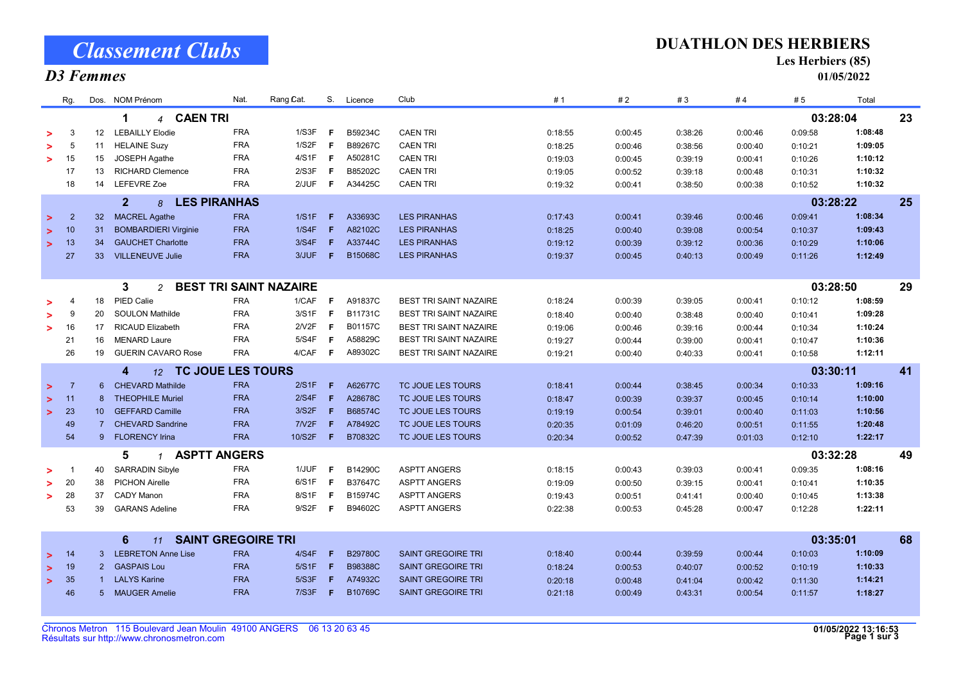Classement Clubs

# D3 Femmes

#### DUATHLON DES HERBIERS

Les Herbiers (85)

01/05/2022

|        | Rg.            |                 | Dos. NOM Prénom                            | Nat.       | Rang Cat.                     | S.  | Licence        | Club                          | #1      | #2      | #3      | #4      | #5       | Total   |    |
|--------|----------------|-----------------|--------------------------------------------|------------|-------------------------------|-----|----------------|-------------------------------|---------|---------|---------|---------|----------|---------|----|
|        |                |                 | <b>CAEN TRI</b><br>1<br>$\overline{4}$     |            |                               |     |                |                               |         |         |         |         | 03:28:04 |         | 23 |
|        | 3              | 12 <sup>2</sup> | <b>LEBAILLY Elodie</b>                     | <b>FRA</b> | 1/S3F                         | -F  | B59234C        | <b>CAEN TRI</b>               | 0:18:55 | 0:00:45 | 0:38:26 | 0:00:46 | 0:09:58  | 1:08:48 |    |
|        | -5             | 11              | <b>HELAINE Suzy</b>                        | <b>FRA</b> | 1/S2F                         | .F  | B89267C        | <b>CAEN TRI</b>               | 0:18:25 | 0:00:46 | 0:38:56 | 0:00:40 | 0:10:21  | 1:09:05 |    |
| $\geq$ | 15             | 15              | JOSEPH Agathe                              | <b>FRA</b> | 4/S1F                         | - F | A50281C        | <b>CAEN TRI</b>               | 0:19:03 | 0:00:45 | 0:39:19 | 0:00:41 | 0:10:26  | 1:10:12 |    |
|        | 17             | 13              | <b>RICHARD Clemence</b>                    | <b>FRA</b> | 2/S3F                         | -F  | B85202C        | <b>CAEN TRI</b>               | 0:19:05 | 0:00:52 | 0:39:18 | 0:00:48 | 0:10:31  | 1:10:32 |    |
|        | 18             | 14              | <b>LEFEVRE Zoe</b>                         | <b>FRA</b> | 2/JUF                         | F   | A34425C        | <b>CAEN TRI</b>               | 0:19:32 | 0:00:41 | 0:38:50 | 0:00:38 | 0:10:52  | 1:10:32 |    |
|        |                |                 | $\overline{2}$<br><b>LES PIRANHAS</b><br>8 |            |                               |     |                |                               |         |         |         |         | 03:28:22 |         | 25 |
| $\geq$ | $\overline{2}$ | 32 <sup>2</sup> | <b>MACREL Agathe</b>                       | <b>FRA</b> | 1/S1F                         | - F | A33693C        | <b>LES PIRANHAS</b>           | 0:17:43 | 0:00:41 | 0:39:46 | 0:00:46 | 0:09:41  | 1:08:34 |    |
| $\geq$ | 10             | 31              | <b>BOMBARDIERI Virginie</b>                | <b>FRA</b> | 1/S4F                         | -F. | A82102C        | <b>LES PIRANHAS</b>           | 0:18:25 | 0:00:40 | 0:39:08 | 0:00:54 | 0:10:37  | 1:09:43 |    |
| $\geq$ | 13             | 34              | <b>GAUCHET Charlotte</b>                   | <b>FRA</b> | 3/S4F                         | F   | A33744C        | <b>LES PIRANHAS</b>           | 0:19:12 | 0:00:39 | 0:39:12 | 0:00:36 | 0:10:29  | 1:10:06 |    |
|        | 27             | 33              | <b>VILLENEUVE Julie</b>                    | <b>FRA</b> | 3/JUF                         | F.  | B15068C        | <b>LES PIRANHAS</b>           | 0:19:37 | 0:00:45 | 0:40:13 | 0:00:49 | 0:11:26  | 1:12:49 |    |
|        |                |                 |                                            |            |                               |     |                |                               |         |         |         |         |          |         |    |
|        |                |                 | 3<br>$\overline{a}$                        |            | <b>BEST TRI SAINT NAZAIRE</b> |     |                |                               |         |         |         |         | 03:28:50 |         | 29 |
|        |                | 18              | PIED Calie                                 | <b>FRA</b> | 1/CAF                         | -F  | A91837C        | <b>BEST TRI SAINT NAZAIRE</b> | 0:18:24 | 0:00:39 | 0:39:05 | 0:00:41 | 0:10:12  | 1:08:59 |    |
| $\geq$ | -9             | 20              | <b>SOULON Mathilde</b>                     | <b>FRA</b> | 3/S1F                         | - F | B11731C        | <b>BEST TRI SAINT NAZAIRE</b> | 0:18:40 | 0:00:40 | 0:38:48 | 0:00:40 | 0:10:41  | 1:09:28 |    |
| $\geq$ | 16             | 17              | <b>RICAUD Elizabeth</b>                    | <b>FRA</b> | 2/V2F                         | F.  | B01157C        | <b>BEST TRI SAINT NAZAIRE</b> | 0:19:06 | 0:00:46 | 0:39:16 | 0:00:44 | 0:10:34  | 1:10:24 |    |
|        | 21             | 16              | <b>MENARD Laure</b>                        | <b>FRA</b> | 5/S4F                         | -F  | A58829C        | <b>BEST TRI SAINT NAZAIRE</b> | 0:19:27 | 0:00:44 | 0:39:00 | 0:00:41 | 0:10:47  | 1:10:36 |    |
|        | 26             | 19              | <b>GUERIN CAVARO Rose</b>                  | <b>FRA</b> | 4/CAF                         | - F | A89302C        | <b>BEST TRI SAINT NAZAIRE</b> | 0:19:21 | 0:00:40 | 0:40:33 | 0:00:41 | 0:10:58  | 1:12:11 |    |
|        |                |                 | 12 TC JOUE LES TOURS<br>4                  |            |                               |     |                |                               |         |         |         |         | 03:30:11 |         | 41 |
| $\geq$ | -7             | 6               | <b>CHEVARD Mathilde</b>                    | <b>FRA</b> | 2/S1F                         | F   | A62677C        | TC JOUE LES TOURS             | 0:18:41 | 0:00:44 | 0:38:45 | 0:00:34 | 0:10:33  | 1:09:16 |    |
| $\geq$ | 11             | 8               | <b>THEOPHILE Muriel</b>                    | <b>FRA</b> | 2/S4F                         | F   | A28678C        | TC JOUE LES TOURS             | 0:18:47 | 0:00:39 | 0:39:37 | 0:00:45 | 0:10:14  | 1:10:00 |    |
| $\geq$ | 23             | 10 <sup>1</sup> | <b>GEFFARD Camille</b>                     | <b>FRA</b> | 3/S2F                         | F   | B68574C        | TC JOUE LES TOURS             | 0:19:19 | 0:00:54 | 0:39:01 | 0:00:40 | 0:11:03  | 1:10:56 |    |
|        | 49             | $\overline{7}$  | <b>CHEVARD Sandrine</b>                    | <b>FRA</b> | 7N2F                          | F   | A78492C        | TC JOUE LES TOURS             | 0:20:35 | 0:01:09 | 0:46:20 | 0:00:51 | 0:11:55  | 1:20:48 |    |
|        | 54             |                 | 9 FLORENCY Irina                           | <b>FRA</b> | 10/S2F                        | F   | B70832C        | TC JOUE LES TOURS             | 0:20:34 | 0:00:52 | 0:47:39 | 0:01:03 | 0:12:10  | 1:22:17 |    |
|        |                |                 | <b>ASPTT ANGERS</b><br>5<br>$\mathcal I$   |            |                               |     |                |                               |         |         |         |         | 03:32:28 |         | 49 |
|        |                | 40              | <b>SARRADIN Sibyle</b>                     | <b>FRA</b> | 1/JUF                         | -F  | B14290C        | <b>ASPTT ANGERS</b>           | 0:18:15 | 0:00:43 | 0:39:03 | 0:00:41 | 0:09:35  | 1:08:16 |    |
| >      | 20             | 38              | <b>PICHON Airelle</b>                      | <b>FRA</b> | 6/S1F                         | - F | B37647C        | <b>ASPTT ANGERS</b>           | 0:19:09 | 0:00:50 | 0:39:15 | 0:00:41 | 0:10:41  | 1:10:35 |    |
| $\geq$ | 28             | 37              | <b>CADY Manon</b>                          | <b>FRA</b> | 8/S1F                         | - F | B15974C        | <b>ASPTT ANGERS</b>           | 0:19:43 | 0:00:51 | 0:41:41 | 0:00:40 | 0:10:45  | 1:13:38 |    |
|        | 53             | 39              | <b>GARANS Adeline</b>                      | <b>FRA</b> | 9/S2F                         | - F | B94602C        | <b>ASPTT ANGERS</b>           | 0:22:38 | 0:00:53 | 0:45:28 | 0:00:47 | 0:12:28  | 1:22:11 |    |
|        |                |                 |                                            |            |                               |     |                |                               |         |         |         |         |          |         |    |
|        |                |                 | <b>SAINT GREGOIRE TRI</b><br>6<br>11       |            |                               |     |                |                               |         |         |         |         | 03:35:01 |         | 68 |
| $\geq$ | 14             |                 | 3 LEBRETON Anne Lise                       | <b>FRA</b> | 4/S4F                         | - F | <b>B29780C</b> | <b>SAINT GREGOIRE TRI</b>     | 0:18:40 | 0:00:44 | 0:39:59 | 0:00:44 | 0:10:03  | 1:10:09 |    |
| $\geq$ | 19             | 2               | <b>GASPAIS Lou</b>                         | <b>FRA</b> | 5/S1F                         | F   | B98388C        | <b>SAINT GREGOIRE TRI</b>     | 0:18:24 | 0:00:53 | 0:40:07 | 0:00:52 | 0:10:19  | 1:10:33 |    |
| $\geq$ | 35             |                 | <b>LALYS Karine</b>                        | <b>FRA</b> | 5/S3F                         | F   | A74932C        | <b>SAINT GREGOIRE TRI</b>     | 0:20:18 | 0:00:48 | 0:41:04 | 0:00:42 | 0:11:30  | 1:14:21 |    |
|        | 46             | 5 <sup>5</sup>  | <b>MAUGER Amelie</b>                       | <b>FRA</b> | 7/S3F                         | - F | B10769C        | <b>SAINT GREGOIRE TRI</b>     | 0:21:18 | 0:00:49 | 0:43:31 | 0:00:54 | 0:11:57  | 1:18:27 |    |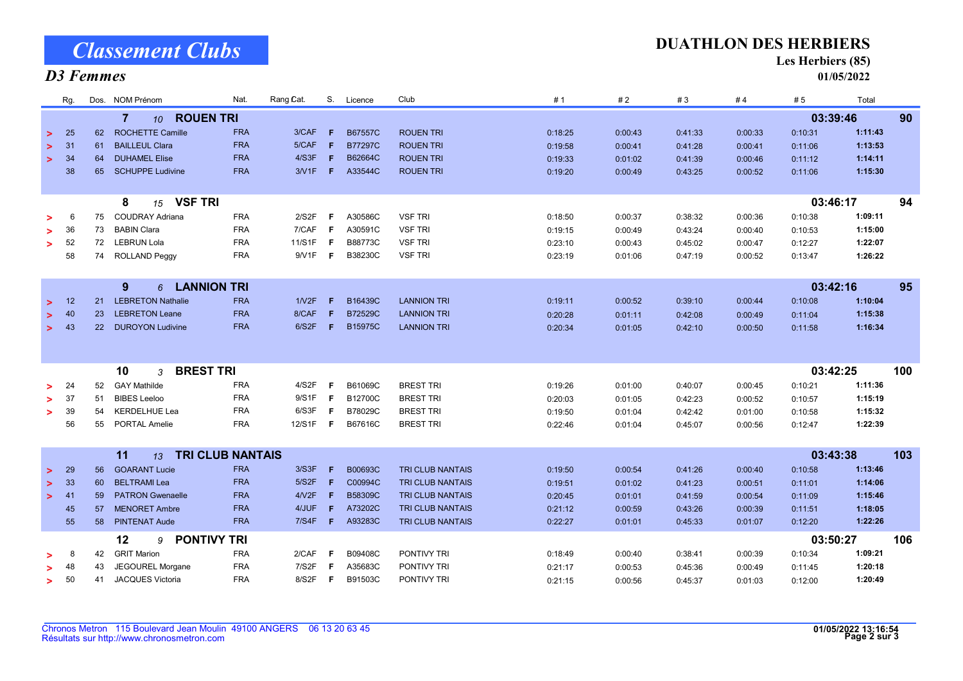# Classement Clubs

### D3 Femmes

#### DUATHLON DES HERBIERS

Les Herbiers (85)

01/05/2022

| Rg.          |           | Dos. NOM Prénom                          | Nat.                    | Rang Cat. | $S_{1}$ | Licence        | Club                    |  | #1      | #2      | #3      | #4      | #5      | Total    |     |
|--------------|-----------|------------------------------------------|-------------------------|-----------|---------|----------------|-------------------------|--|---------|---------|---------|---------|---------|----------|-----|
|              |           | <b>ROUEN TRI</b><br>$\overline{7}$<br>10 |                         |           |         |                |                         |  |         |         |         |         |         | 03:39:46 | 90  |
| 25<br>$\geq$ | 62        | <b>ROCHETTE Camille</b>                  | <b>FRA</b>              | 3/CAF     | F.      | B67557C        | <b>ROUEN TRI</b>        |  | 0:18:25 | 0:00:43 | 0:41:33 | 0:00:33 | 0:10:31 | 1:11:43  |     |
| 31           | 61        | <b>BAILLEUL Clara</b>                    | <b>FRA</b>              | 5/CAF     | F.      | <b>B77297C</b> | <b>ROUEN TRI</b>        |  | 0:19:58 | 0:00:41 | 0:41:28 | 0:00:41 | 0:11:06 | 1:13:53  |     |
| 34<br>$\geq$ | 64        | <b>DUHAMEL Elise</b>                     | <b>FRA</b>              | 4/S3F     | F       | B62664C        | <b>ROUEN TRI</b>        |  | 0:19:33 | 0:01:02 | 0:41:39 | 0:00:46 | 0:11:12 | 1:14:11  |     |
| 38           | 65        | <b>SCHUPPE Ludivine</b>                  | <b>FRA</b>              | 3/1F      | F.      | A33544C        | <b>ROUEN TRI</b>        |  | 0:19:20 | 0:00:49 | 0:43:25 | 0:00:52 | 0:11:06 | 1:15:30  |     |
|              |           |                                          |                         |           |         |                |                         |  |         |         |         |         |         |          |     |
|              |           | <b>VSF TRI</b><br>8<br>15                |                         |           |         |                |                         |  |         |         |         |         |         | 03:46:17 | 94  |
| 6            | 75        | <b>COUDRAY Adriana</b>                   | <b>FRA</b>              | 2/S2F     | F       | A30586C        | <b>VSF TRI</b>          |  | 0:18:50 | 0:00:37 | 0:38:32 | 0:00:36 | 0:10:38 | 1:09:11  |     |
| 36<br>>      | 73        | <b>BABIN Clara</b>                       | <b>FRA</b>              | 7/CAF     | -F      | A30591C        | <b>VSF TRI</b>          |  | 0:19:15 | 0:00:49 | 0:43:24 | 0:00:40 | 0:10:53 | 1:15:00  |     |
| 52<br>>      | 72        | <b>LEBRUN Lola</b>                       | <b>FRA</b>              | 11/S1F    | F       | B88773C        | <b>VSF TRI</b>          |  | 0:23:10 | 0:00:43 | 0:45:02 | 0:00:47 | 0:12:27 | 1:22:07  |     |
| 58           | 74        | <b>ROLLAND Peggy</b>                     | <b>FRA</b>              | 9/V1F     | F       | B38230C        | <b>VSF TRI</b>          |  | 0:23:19 | 0:01:06 | 0:47:19 | 0:00:52 | 0:13:47 | 1:26:22  |     |
|              |           |                                          |                         |           |         |                |                         |  |         |         |         |         |         |          |     |
|              |           | 9<br><b>LANNION TRI</b><br>6             |                         |           |         |                |                         |  |         |         |         |         |         | 03:42:16 | 95  |
| 12<br>$\geq$ | 21        | <b>LEBRETON Nathalie</b>                 | <b>FRA</b>              | 1N2F      | F       | B16439C        | <b>LANNION TRI</b>      |  | 0:19:11 | 0:00:52 | 0:39:10 | 0:00:44 | 0:10:08 | 1:10:04  |     |
| 40<br>⋗      | 23        | <b>LEBRETON Leane</b>                    | <b>FRA</b>              | 8/CAF     | F       | B72529C        | <b>LANNION TRI</b>      |  | 0:20:28 | 0:01:11 | 0:42:08 | 0:00:49 | 0:11:04 | 1:15:38  |     |
| 43<br>$\geq$ | <b>22</b> | <b>DUROYON Ludivine</b>                  | <b>FRA</b>              | 6/S2F     | F.      | B15975C        | <b>LANNION TRI</b>      |  | 0:20:34 | 0:01:05 | 0:42:10 | 0:00:50 | 0:11:58 | 1:16:34  |     |
|              |           |                                          |                         |           |         |                |                         |  |         |         |         |         |         |          |     |
|              |           |                                          |                         |           |         |                |                         |  |         |         |         |         |         |          |     |
|              |           | <b>BREST TRI</b><br>10<br>3              |                         |           |         |                |                         |  |         |         |         |         |         | 03:42:25 | 100 |
| 24           | 52        | <b>GAY Mathilde</b>                      | <b>FRA</b>              | 4/S2F     | F       | B61069C        | <b>BREST TRI</b>        |  | 0:19:26 | 0:01:00 | 0:40:07 | 0:00:45 | 0:10:21 | 1:11:36  |     |
| 37           | 51        | <b>BIBES</b> Leeloo                      | <b>FRA</b>              | 9/S1F     | F       | B12700C        | <b>BREST TRI</b>        |  | 0:20:03 | 0:01:05 | 0:42:23 | 0:00:52 | 0:10:57 | 1:15:19  |     |
| 39<br>>      | 54        | <b>KERDELHUE Lea</b>                     | <b>FRA</b>              | 6/S3F     | F       | B78029C        | <b>BREST TRI</b>        |  | 0:19:50 | 0:01:04 | 0:42:42 | 0:01:00 | 0:10:58 | 1:15:32  |     |
| 56           | 55        | PORTAL Amelie                            | <b>FRA</b>              | 12/S1F    | F       | B67616C        | <b>BREST TRI</b>        |  | 0:22:46 | 0:01:04 | 0:45:07 | 0:00:56 | 0:12:47 | 1:22:39  |     |
|              |           |                                          |                         |           |         |                |                         |  |         |         |         |         |         |          |     |
|              |           | 11<br>13                                 | <b>TRI CLUB NANTAIS</b> |           |         |                |                         |  |         |         |         |         |         | 03:43:38 | 103 |
| 29<br>$\geq$ | 56        | <b>GOARANT Lucie</b>                     | <b>FRA</b>              | 3/S3F     | F.      | B00693C        | <b>TRI CLUB NANTAIS</b> |  | 0:19:50 | 0:00:54 | 0:41:26 | 0:00:40 | 0:10:58 | 1:13:46  |     |
| 33<br>>      | 60        | <b>BELTRAMI</b> Lea                      | <b>FRA</b>              | 5/S2F     | -F.     | C00994C        | <b>TRI CLUB NANTAIS</b> |  | 0:19:51 | 0:01:02 | 0:41:23 | 0:00:51 | 0:11:01 | 1:14:06  |     |
| 41<br>$\geq$ | 59        | <b>PATRON Gwenaelle</b>                  | <b>FRA</b>              | 4/ V2F    | F       | B58309C        | <b>TRI CLUB NANTAIS</b> |  | 0:20:45 | 0:01:01 | 0:41:59 | 0:00:54 | 0:11:09 | 1:15:46  |     |
| 45           | 57        | <b>MENORET Ambre</b>                     | <b>FRA</b>              | 4/JUF     | F       | A73202C        | <b>TRI CLUB NANTAIS</b> |  | 0:21:12 | 0:00:59 | 0:43:26 | 0:00:39 | 0:11:51 | 1:18:05  |     |
| 55           | 58        | <b>PINTENAT Aude</b>                     | <b>FRA</b>              | 7/S4F     | $-F$    | A93283C        | <b>TRI CLUB NANTAIS</b> |  | 0:22:27 | 0:01:01 | 0:45:33 | 0:01:07 | 0:12:20 | 1:22:26  |     |
|              |           | 12<br>9                                  | <b>PONTIVY TRI</b>      |           |         |                |                         |  |         |         |         |         |         | 03:50:27 | 106 |
| 8            | 42        | <b>GRIT Marion</b>                       | <b>FRA</b>              | 2/CAF     | F       | B09408C        | PONTIVY TRI             |  | 0:18:49 | 0:00:40 | 0:38:41 | 0:00:39 | 0:10:34 | 1:09:21  |     |
| 48<br>↘      | 43        | JEGOUREL Morgane                         | <b>FRA</b>              | 7/S2F     | F       | A35683C        | <b>PONTIVY TRI</b>      |  | 0:21:17 | 0:00:53 | 0:45:36 | 0:00:49 | 0:11:45 | 1:20:18  |     |
| 50<br>$\geq$ | 41        | <b>JACQUES Victoria</b>                  | <b>FRA</b>              | 8/S2F     | F.      | B91503C        | <b>PONTIVY TRI</b>      |  | 0:21:15 | 0:00:56 | 0:45:37 | 0:01:03 | 0:12:00 | 1:20:49  |     |